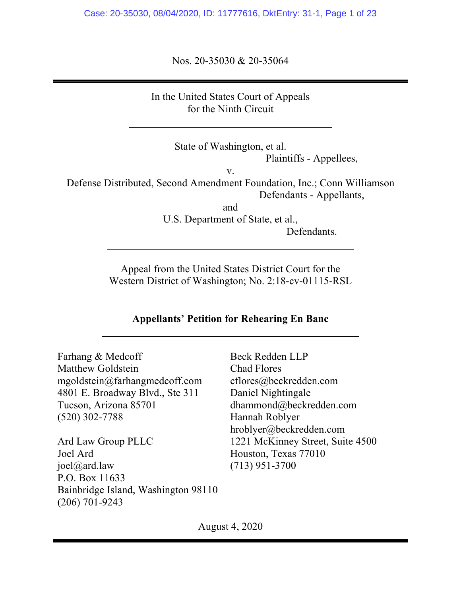Case: 20-35030, 08/04/2020, ID: 11777616, DktEntry: 31-1, Page 1 of 23

Nos. 20-35030 & 20-35064

In the United States Court of Appeals for the Ninth Circuit

> State of Washington, et al. Plaintiffs - Appellees,

> > v.

Defense Distributed, Second Amendment Foundation, Inc.; Conn Williamson Defendants - Appellants,

and

U.S. Department of State, et al., Defendants.

Appeal from the United States District Court for the Western District of Washington; No. 2:18-cv-01115-RSL

## **Appellants' Petition for Rehearing En Banc**

Farhang & Medcoff Matthew Goldstein mgoldstein@farhangmedcoff.com 4801 E. Broadway Blvd., Ste 311 Tucson, Arizona 85701 (520) 302-7788

Ard Law Group PLLC Joel Ard joel@ard.law P.O. Box 11633 Bainbridge Island, Washington 98110 (206) 701-9243

Beck Redden LLP Chad Flores cflores@beckredden.com Daniel Nightingale dhammond@beckredden.com Hannah Roblyer hroblyer@beckredden.com 1221 McKinney Street, Suite 4500 Houston, Texas 77010 (713) 951-3700

August 4, 2020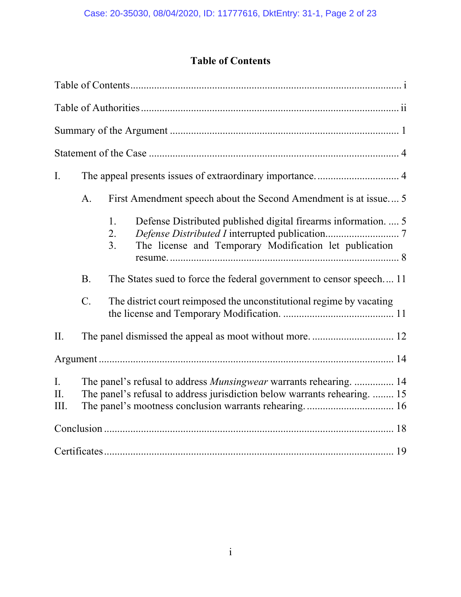# **Table of Contents**

| I.                |                                                                                                                                                        |                                                                                                                                            |  |  |
|-------------------|--------------------------------------------------------------------------------------------------------------------------------------------------------|--------------------------------------------------------------------------------------------------------------------------------------------|--|--|
|                   | A.                                                                                                                                                     | First Amendment speech about the Second Amendment is at issue 5                                                                            |  |  |
|                   |                                                                                                                                                        | Defense Distributed published digital firearms information.  5<br>1.<br>2.<br>The license and Temporary Modification let publication<br>3. |  |  |
|                   | <b>B.</b>                                                                                                                                              | The States sued to force the federal government to censor speech 11                                                                        |  |  |
|                   | $C$ .                                                                                                                                                  | The district court reimposed the unconstitutional regime by vacating                                                                       |  |  |
| II.               |                                                                                                                                                        | The panel dismissed the appeal as moot without more 12                                                                                     |  |  |
|                   |                                                                                                                                                        |                                                                                                                                            |  |  |
| I.<br>II.<br>III. | The panel's refusal to address <i>Munsingwear</i> warrants rehearing.  14<br>The panel's refusal to address jurisdiction below warrants rehearing.  15 |                                                                                                                                            |  |  |
|                   |                                                                                                                                                        |                                                                                                                                            |  |  |
|                   |                                                                                                                                                        |                                                                                                                                            |  |  |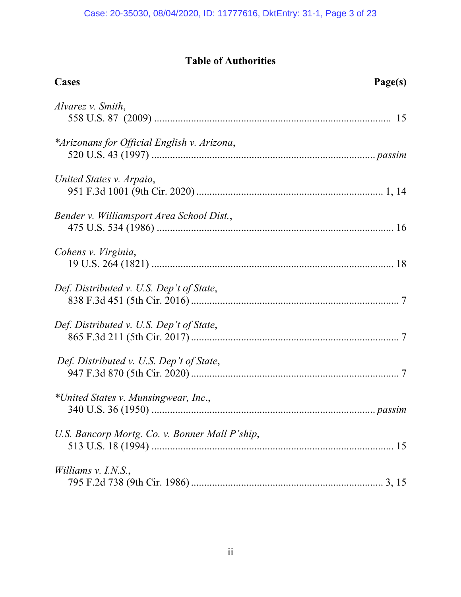# **Table of Authorities**

| Cases                                          | Page(s) |
|------------------------------------------------|---------|
| Alvarez v. Smith,                              |         |
| *Arizonans for Official English v. Arizona,    |         |
| United States v. Arpaio,                       |         |
| Bender v. Williamsport Area School Dist.,      |         |
| Cohens v. Virginia,                            |         |
| Def. Distributed v. U.S. Dep't of State,       |         |
| Def. Distributed v. U.S. Dep't of State,       |         |
| Def. Distributed v. U.S. Dep't of State,       |         |
| *United States v. Munsingwear, Inc.,           |         |
| U.S. Bancorp Mortg. Co. v. Bonner Mall P'ship, |         |
| Williams $v.$ I.N.S.,                          |         |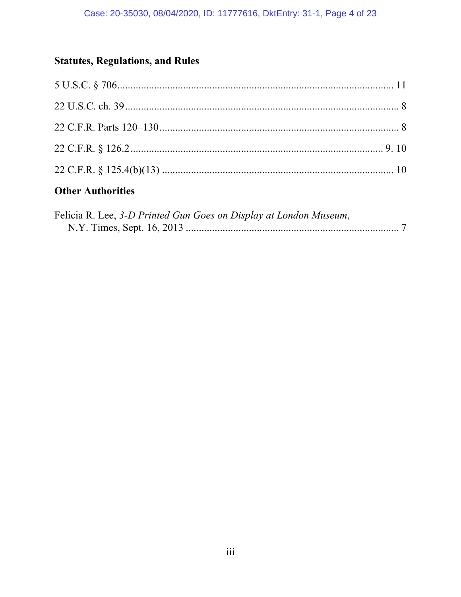# **Statutes, Regulations, and Rules**

# **Other Authorities**

| Felicia R. Lee, 3-D Printed Gun Goes on Display at London Museum, |  |
|-------------------------------------------------------------------|--|
|                                                                   |  |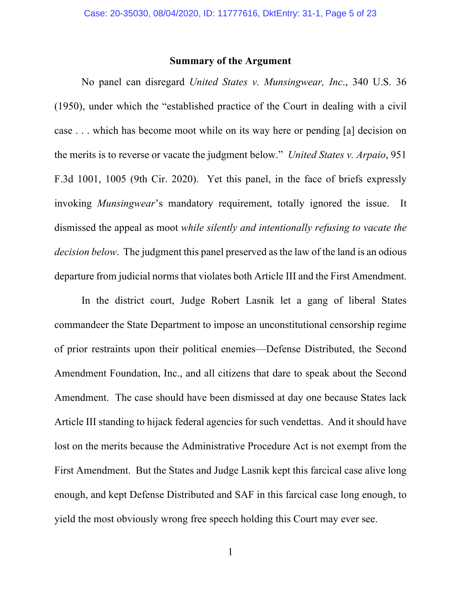## **Summary of the Argument**

No panel can disregard *United States v. Munsingwear, Inc*., 340 U.S. 36 (1950), under which the "established practice of the Court in dealing with a civil case . . . which has become moot while on its way here or pending [a] decision on the merits is to reverse or vacate the judgment below." *United States v. Arpaio*, 951 F.3d 1001, 1005 (9th Cir. 2020). Yet this panel, in the face of briefs expressly invoking *Munsingwear*'s mandatory requirement, totally ignored the issue. It dismissed the appeal as moot *while silently and intentionally refusing to vacate the decision below*. The judgment this panel preserved as the law of the land is an odious departure from judicial norms that violates both Article III and the First Amendment.

In the district court, Judge Robert Lasnik let a gang of liberal States commandeer the State Department to impose an unconstitutional censorship regime of prior restraints upon their political enemies—Defense Distributed, the Second Amendment Foundation, Inc., and all citizens that dare to speak about the Second Amendment. The case should have been dismissed at day one because States lack Article III standing to hijack federal agencies for such vendettas. And it should have lost on the merits because the Administrative Procedure Act is not exempt from the First Amendment. But the States and Judge Lasnik kept this farcical case alive long enough, and kept Defense Distributed and SAF in this farcical case long enough, to yield the most obviously wrong free speech holding this Court may ever see.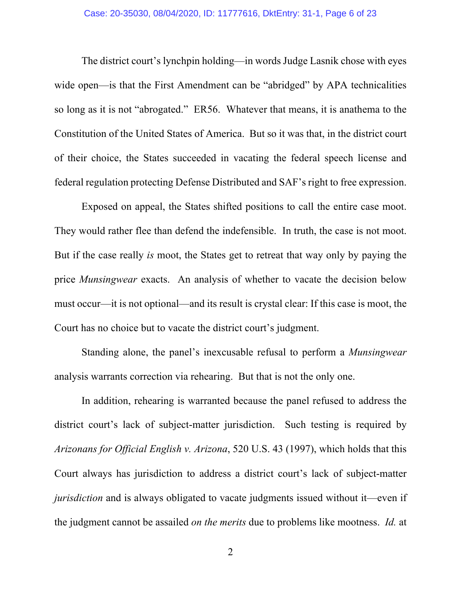The district court's lynchpin holding—in words Judge Lasnik chose with eyes wide open—is that the First Amendment can be "abridged" by APA technicalities so long as it is not "abrogated." ER56. Whatever that means, it is anathema to the Constitution of the United States of America. But so it was that, in the district court of their choice, the States succeeded in vacating the federal speech license and federal regulation protecting Defense Distributed and SAF's right to free expression.

Exposed on appeal, the States shifted positions to call the entire case moot. They would rather flee than defend the indefensible. In truth, the case is not moot. But if the case really *is* moot, the States get to retreat that way only by paying the price *Munsingwear* exacts. An analysis of whether to vacate the decision below must occur—it is not optional—and its result is crystal clear: If this case is moot, the Court has no choice but to vacate the district court's judgment.

Standing alone, the panel's inexcusable refusal to perform a *Munsingwear* analysis warrants correction via rehearing. But that is not the only one.

In addition, rehearing is warranted because the panel refused to address the district court's lack of subject-matter jurisdiction. Such testing is required by *Arizonans for Official English v. Arizona*, 520 U.S. 43 (1997), which holds that this Court always has jurisdiction to address a district court's lack of subject-matter *jurisdiction* and is always obligated to vacate judgments issued without it—even if the judgment cannot be assailed *on the merits* due to problems like mootness. *Id.* at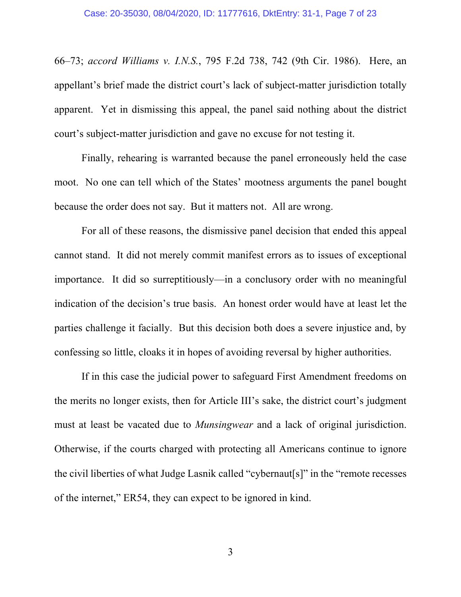66–73; *accord Williams v. I.N.S.*, 795 F.2d 738, 742 (9th Cir. 1986). Here, an appellant's brief made the district court's lack of subject-matter jurisdiction totally apparent. Yet in dismissing this appeal, the panel said nothing about the district court's subject-matter jurisdiction and gave no excuse for not testing it.

Finally, rehearing is warranted because the panel erroneously held the case moot. No one can tell which of the States' mootness arguments the panel bought because the order does not say. But it matters not. All are wrong.

For all of these reasons, the dismissive panel decision that ended this appeal cannot stand. It did not merely commit manifest errors as to issues of exceptional importance. It did so surreptitiously—in a conclusory order with no meaningful indication of the decision's true basis. An honest order would have at least let the parties challenge it facially. But this decision both does a severe injustice and, by confessing so little, cloaks it in hopes of avoiding reversal by higher authorities.

If in this case the judicial power to safeguard First Amendment freedoms on the merits no longer exists, then for Article III's sake, the district court's judgment must at least be vacated due to *Munsingwear* and a lack of original jurisdiction. Otherwise, if the courts charged with protecting all Americans continue to ignore the civil liberties of what Judge Lasnik called "cybernaut[s]" in the "remote recesses of the internet," ER54, they can expect to be ignored in kind.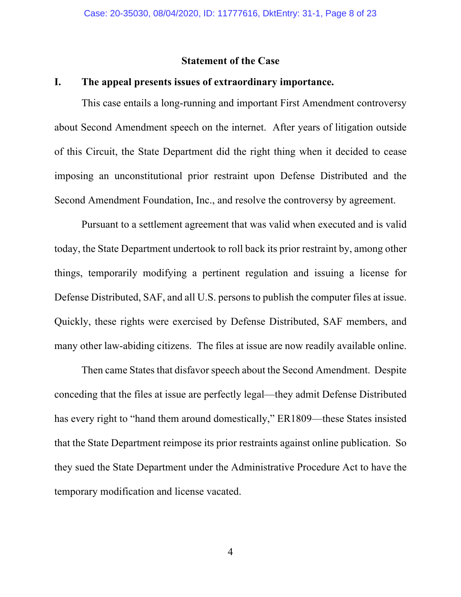### **Statement of the Case**

## **I. The appeal presents issues of extraordinary importance.**

This case entails a long-running and important First Amendment controversy about Second Amendment speech on the internet. After years of litigation outside of this Circuit, the State Department did the right thing when it decided to cease imposing an unconstitutional prior restraint upon Defense Distributed and the Second Amendment Foundation, Inc., and resolve the controversy by agreement.

Pursuant to a settlement agreement that was valid when executed and is valid today, the State Department undertook to roll back its prior restraint by, among other things, temporarily modifying a pertinent regulation and issuing a license for Defense Distributed, SAF, and all U.S. persons to publish the computer files at issue. Quickly, these rights were exercised by Defense Distributed, SAF members, and many other law-abiding citizens. The files at issue are now readily available online.

Then came States that disfavor speech about the Second Amendment. Despite conceding that the files at issue are perfectly legal—they admit Defense Distributed has every right to "hand them around domestically," ER1809—these States insisted that the State Department reimpose its prior restraints against online publication. So they sued the State Department under the Administrative Procedure Act to have the temporary modification and license vacated.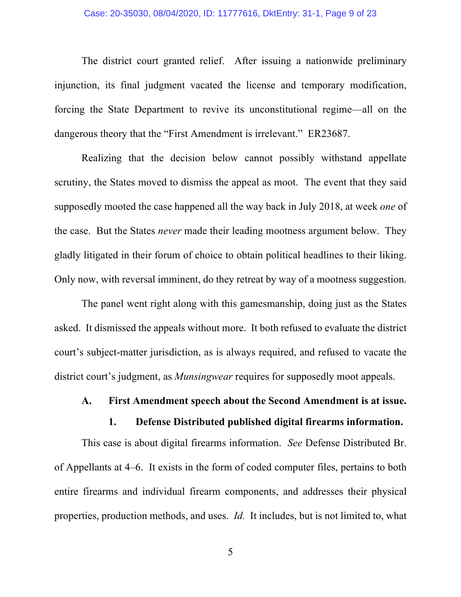#### Case: 20-35030, 08/04/2020, ID: 11777616, DktEntry: 31-1, Page 9 of 23

The district court granted relief. After issuing a nationwide preliminary injunction, its final judgment vacated the license and temporary modification, forcing the State Department to revive its unconstitutional regime—all on the dangerous theory that the "First Amendment is irrelevant." ER23687.

Realizing that the decision below cannot possibly withstand appellate scrutiny, the States moved to dismiss the appeal as moot. The event that they said supposedly mooted the case happened all the way back in July 2018, at week *one* of the case. But the States *never* made their leading mootness argument below. They gladly litigated in their forum of choice to obtain political headlines to their liking. Only now, with reversal imminent, do they retreat by way of a mootness suggestion.

The panel went right along with this gamesmanship, doing just as the States asked. It dismissed the appeals without more. It both refused to evaluate the district court's subject-matter jurisdiction, as is always required, and refused to vacate the district court's judgment, as *Munsingwear* requires for supposedly moot appeals.

#### **A. First Amendment speech about the Second Amendment is at issue.**

#### **1. Defense Distributed published digital firearms information.**

This case is about digital firearms information. *See* Defense Distributed Br. of Appellants at 4–6. It exists in the form of coded computer files, pertains to both entire firearms and individual firearm components, and addresses their physical properties, production methods, and uses. *Id.* It includes, but is not limited to, what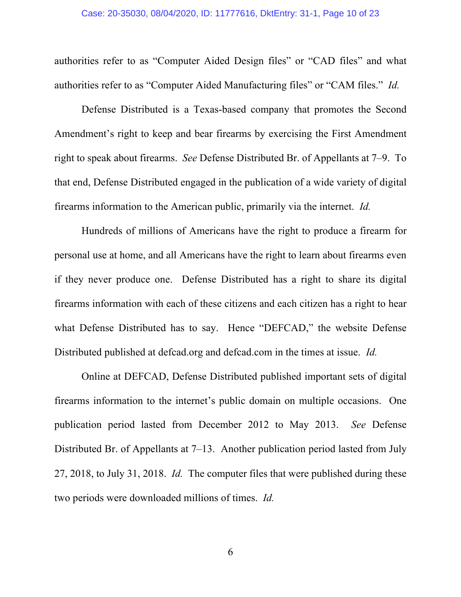authorities refer to as "Computer Aided Design files" or "CAD files" and what authorities refer to as "Computer Aided Manufacturing files" or "CAM files." *Id.*

Defense Distributed is a Texas-based company that promotes the Second Amendment's right to keep and bear firearms by exercising the First Amendment right to speak about firearms. *See* Defense Distributed Br. of Appellants at 7–9. To that end, Defense Distributed engaged in the publication of a wide variety of digital firearms information to the American public, primarily via the internet. *Id.*

Hundreds of millions of Americans have the right to produce a firearm for personal use at home, and all Americans have the right to learn about firearms even if they never produce one. Defense Distributed has a right to share its digital firearms information with each of these citizens and each citizen has a right to hear what Defense Distributed has to say. Hence "DEFCAD," the website Defense Distributed published at defcad.org and defcad.com in the times at issue. *Id.*

Online at DEFCAD, Defense Distributed published important sets of digital firearms information to the internet's public domain on multiple occasions. One publication period lasted from December 2012 to May 2013. *See* Defense Distributed Br. of Appellants at 7–13. Another publication period lasted from July 27, 2018, to July 31, 2018. *Id.* The computer files that were published during these two periods were downloaded millions of times. *Id.*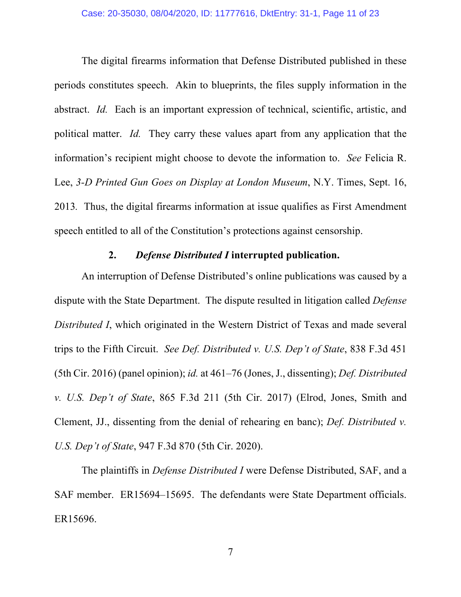The digital firearms information that Defense Distributed published in these periods constitutes speech. Akin to blueprints, the files supply information in the abstract. *Id.* Each is an important expression of technical, scientific, artistic, and political matter. *Id.* They carry these values apart from any application that the information's recipient might choose to devote the information to. *See* Felicia R. Lee, *3-D Printed Gun Goes on Display at London Museum*, N.Y. Times, Sept. 16, 2013*.* Thus, the digital firearms information at issue qualifies as First Amendment speech entitled to all of the Constitution's protections against censorship.

## **2.** *Defense Distributed I* **interrupted publication.**

An interruption of Defense Distributed's online publications was caused by a dispute with the State Department. The dispute resulted in litigation called *Defense Distributed I*, which originated in the Western District of Texas and made several trips to the Fifth Circuit. *See Def. Distributed v. U.S. Dep't of State*, 838 F.3d 451 (5th Cir. 2016) (panel opinion); *id.* at 461–76 (Jones, J., dissenting); *Def. Distributed v. U.S. Dep't of State*, 865 F.3d 211 (5th Cir. 2017) (Elrod, Jones, Smith and Clement, JJ., dissenting from the denial of rehearing en banc); *Def. Distributed v. U.S. Dep't of State*, 947 F.3d 870 (5th Cir. 2020).

The plaintiffs in *Defense Distributed I* were Defense Distributed, SAF, and a SAF member. ER15694–15695. The defendants were State Department officials. ER15696.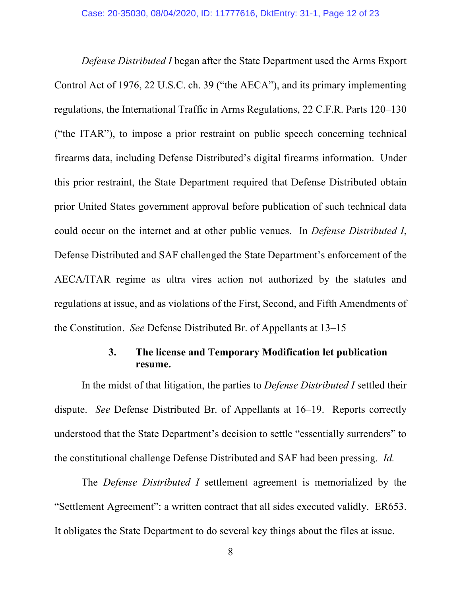*Defense Distributed I* began after the State Department used the Arms Export Control Act of 1976, 22 U.S.C. ch. 39 ("the AECA"), and its primary implementing regulations, the International Traffic in Arms Regulations, 22 C.F.R. Parts 120–130 ("the ITAR"), to impose a prior restraint on public speech concerning technical firearms data, including Defense Distributed's digital firearms information. Under this prior restraint, the State Department required that Defense Distributed obtain prior United States government approval before publication of such technical data could occur on the internet and at other public venues. In *Defense Distributed I*, Defense Distributed and SAF challenged the State Department's enforcement of the AECA/ITAR regime as ultra vires action not authorized by the statutes and regulations at issue, and as violations of the First, Second, and Fifth Amendments of the Constitution. *See* Defense Distributed Br. of Appellants at 13–15

# **3. The license and Temporary Modification let publication resume.**

In the midst of that litigation, the parties to *Defense Distributed I* settled their dispute. *See* Defense Distributed Br. of Appellants at 16–19. Reports correctly understood that the State Department's decision to settle "essentially surrenders" to the constitutional challenge Defense Distributed and SAF had been pressing. *Id.*

The *Defense Distributed I* settlement agreement is memorialized by the "Settlement Agreement": a written contract that all sides executed validly. ER653. It obligates the State Department to do several key things about the files at issue.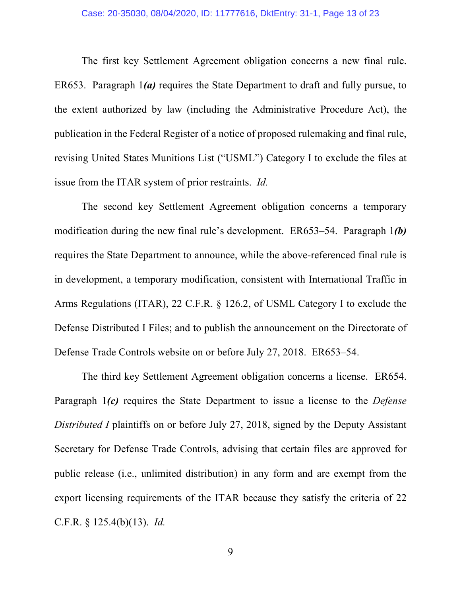#### Case: 20-35030, 08/04/2020, ID: 11777616, DktEntry: 31-1, Page 13 of 23

The first key Settlement Agreement obligation concerns a new final rule. ER653. Paragraph 1*(a)* requires the State Department to draft and fully pursue, to the extent authorized by law (including the Administrative Procedure Act), the publication in the Federal Register of a notice of proposed rulemaking and final rule, revising United States Munitions List ("USML") Category I to exclude the files at issue from the ITAR system of prior restraints. *Id.*

The second key Settlement Agreement obligation concerns a temporary modification during the new final rule's development. ER653–54. Paragraph 1*(b)* requires the State Department to announce, while the above-referenced final rule is in development, a temporary modification, consistent with International Traffic in Arms Regulations (ITAR), 22 C.F.R. § 126.2, of USML Category I to exclude the Defense Distributed I Files; and to publish the announcement on the Directorate of Defense Trade Controls website on or before July 27, 2018. ER653–54.

The third key Settlement Agreement obligation concerns a license. ER654. Paragraph 1*(c)* requires the State Department to issue a license to the *Defense Distributed I* plaintiffs on or before July 27, 2018, signed by the Deputy Assistant Secretary for Defense Trade Controls, advising that certain files are approved for public release (i.e., unlimited distribution) in any form and are exempt from the export licensing requirements of the ITAR because they satisfy the criteria of 22 C.F.R. § 125.4(b)(13). *Id.*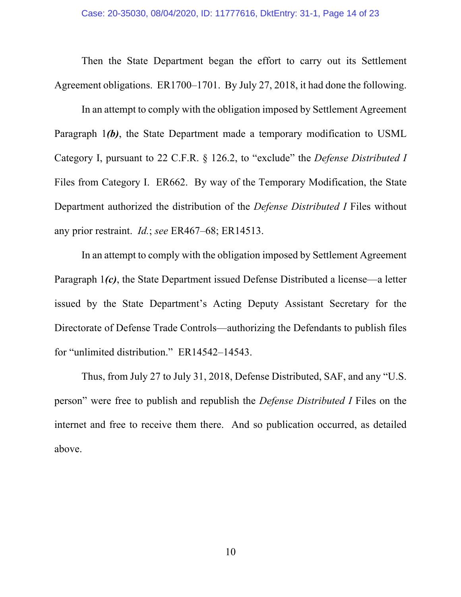Then the State Department began the effort to carry out its Settlement Agreement obligations. ER1700–1701. By July 27, 2018, it had done the following.

In an attempt to comply with the obligation imposed by Settlement Agreement Paragraph 1*(b)*, the State Department made a temporary modification to USML Category I, pursuant to 22 C.F.R. § 126.2, to "exclude" the *Defense Distributed I* Files from Category I. ER662. By way of the Temporary Modification, the State Department authorized the distribution of the *Defense Distributed I* Files without any prior restraint. *Id.*; *see* ER467–68; ER14513.

In an attempt to comply with the obligation imposed by Settlement Agreement Paragraph 1*(c)*, the State Department issued Defense Distributed a license—a letter issued by the State Department's Acting Deputy Assistant Secretary for the Directorate of Defense Trade Controls—authorizing the Defendants to publish files for "unlimited distribution." ER14542–14543.

Thus, from July 27 to July 31, 2018, Defense Distributed, SAF, and any "U.S. person" were free to publish and republish the *Defense Distributed I* Files on the internet and free to receive them there. And so publication occurred, as detailed above.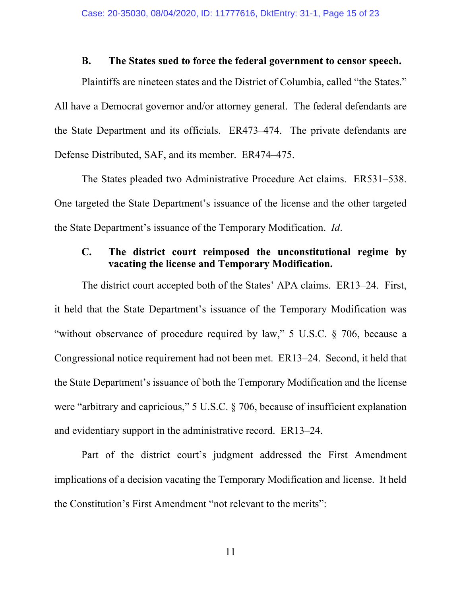### **B. The States sued to force the federal government to censor speech.**

Plaintiffs are nineteen states and the District of Columbia, called "the States." All have a Democrat governor and/or attorney general. The federal defendants are the State Department and its officials. ER473–474. The private defendants are Defense Distributed, SAF, and its member. ER474–475.

The States pleaded two Administrative Procedure Act claims. ER531–538. One targeted the State Department's issuance of the license and the other targeted the State Department's issuance of the Temporary Modification. *Id*.

# **C. The district court reimposed the unconstitutional regime by vacating the license and Temporary Modification.**

The district court accepted both of the States' APA claims. ER13–24. First, it held that the State Department's issuance of the Temporary Modification was "without observance of procedure required by law," 5 U.S.C. § 706, because a Congressional notice requirement had not been met. ER13–24. Second, it held that the State Department's issuance of both the Temporary Modification and the license were "arbitrary and capricious," 5 U.S.C. § 706, because of insufficient explanation and evidentiary support in the administrative record. ER13–24.

Part of the district court's judgment addressed the First Amendment implications of a decision vacating the Temporary Modification and license. It held the Constitution's First Amendment "not relevant to the merits":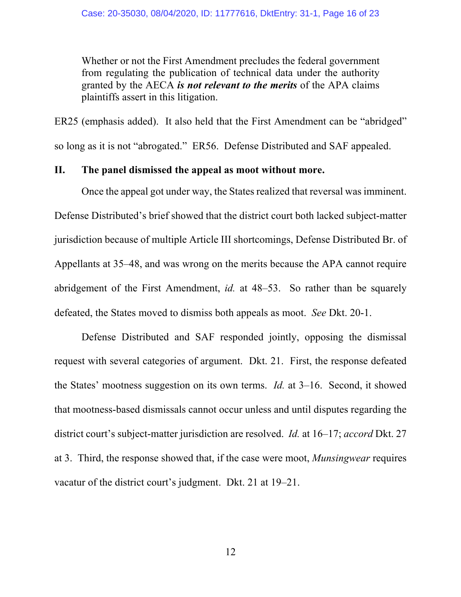Whether or not the First Amendment precludes the federal government from regulating the publication of technical data under the authority granted by the AECA *is not relevant to the merits* of the APA claims plaintiffs assert in this litigation.

ER25 (emphasis added). It also held that the First Amendment can be "abridged" so long as it is not "abrogated." ER56. Defense Distributed and SAF appealed.

## **II. The panel dismissed the appeal as moot without more.**

Once the appeal got under way, the States realized that reversal was imminent. Defense Distributed's brief showed that the district court both lacked subject-matter jurisdiction because of multiple Article III shortcomings, Defense Distributed Br. of Appellants at 35–48, and was wrong on the merits because the APA cannot require abridgement of the First Amendment, *id.* at 48–53. So rather than be squarely defeated, the States moved to dismiss both appeals as moot. *See* Dkt. 20-1.

Defense Distributed and SAF responded jointly, opposing the dismissal request with several categories of argument. Dkt. 21. First, the response defeated the States' mootness suggestion on its own terms. *Id.* at 3–16. Second, it showed that mootness-based dismissals cannot occur unless and until disputes regarding the district court's subject-matter jurisdiction are resolved. *Id.* at 16–17; *accord* Dkt. 27 at 3. Third, the response showed that, if the case were moot, *Munsingwear* requires vacatur of the district court's judgment. Dkt. 21 at 19–21.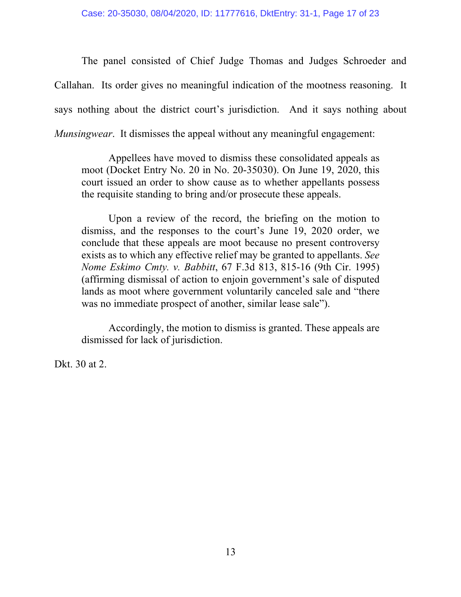The panel consisted of Chief Judge Thomas and Judges Schroeder and Callahan. Its order gives no meaningful indication of the mootness reasoning. It says nothing about the district court's jurisdiction. And it says nothing about *Munsingwear*. It dismisses the appeal without any meaningful engagement:

Appellees have moved to dismiss these consolidated appeals as moot (Docket Entry No. 20 in No. 20-35030). On June 19, 2020, this court issued an order to show cause as to whether appellants possess the requisite standing to bring and/or prosecute these appeals.

Upon a review of the record, the briefing on the motion to dismiss, and the responses to the court's June 19, 2020 order, we conclude that these appeals are moot because no present controversy exists as to which any effective relief may be granted to appellants. *See Nome Eskimo Cmty. v. Babbitt*, 67 F.3d 813, 815-16 (9th Cir. 1995) (affirming dismissal of action to enjoin government's sale of disputed lands as moot where government voluntarily canceled sale and "there was no immediate prospect of another, similar lease sale").

Accordingly, the motion to dismiss is granted. These appeals are dismissed for lack of jurisdiction.

Dkt. 30 at 2.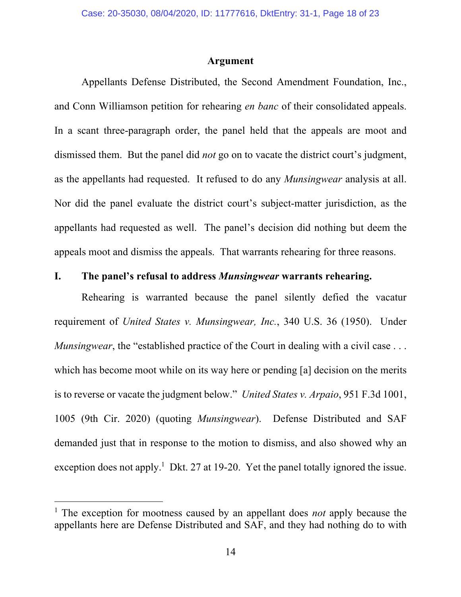#### **Argument**

Appellants Defense Distributed, the Second Amendment Foundation, Inc., and Conn Williamson petition for rehearing *en banc* of their consolidated appeals. In a scant three-paragraph order, the panel held that the appeals are moot and dismissed them. But the panel did *not* go on to vacate the district court's judgment, as the appellants had requested. It refused to do any *Munsingwear* analysis at all. Nor did the panel evaluate the district court's subject-matter jurisdiction, as the appellants had requested as well. The panel's decision did nothing but deem the appeals moot and dismiss the appeals. That warrants rehearing for three reasons.

### **I. The panel's refusal to address** *Munsingwear* **warrants rehearing.**

Rehearing is warranted because the panel silently defied the vacatur requirement of *United States v. Munsingwear, Inc.*, 340 U.S. 36 (1950). Under *Munsingwear*, the "established practice of the Court in dealing with a civil case ... which has become moot while on its way here or pending [a] decision on the merits is to reverse or vacate the judgment below." *United States v. Arpaio*, 951 F.3d 1001, 1005 (9th Cir. 2020) (quoting *Munsingwear*). Defense Distributed and SAF demanded just that in response to the motion to dismiss, and also showed why an exception does not apply.<sup>1</sup> Dkt. 27 at 19-20. Yet the panel totally ignored the issue.

<sup>&</sup>lt;sup>1</sup> The exception for mootness caused by an appellant does *not* apply because the appellants here are Defense Distributed and SAF, and they had nothing do to with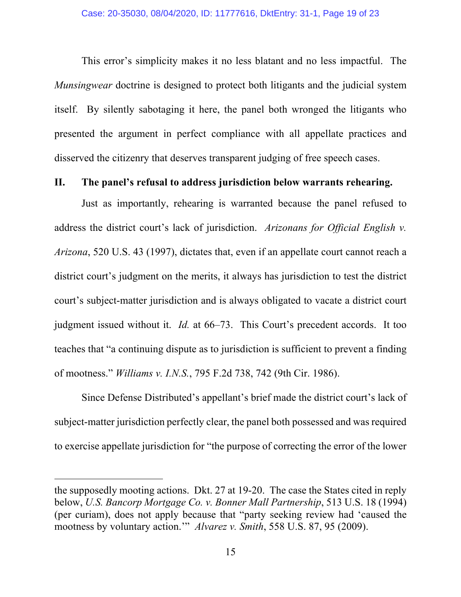This error's simplicity makes it no less blatant and no less impactful. The *Munsingwear* doctrine is designed to protect both litigants and the judicial system itself. By silently sabotaging it here, the panel both wronged the litigants who presented the argument in perfect compliance with all appellate practices and disserved the citizenry that deserves transparent judging of free speech cases.

## **II. The panel's refusal to address jurisdiction below warrants rehearing.**

Just as importantly, rehearing is warranted because the panel refused to address the district court's lack of jurisdiction. *Arizonans for Official English v. Arizona*, 520 U.S. 43 (1997), dictates that, even if an appellate court cannot reach a district court's judgment on the merits, it always has jurisdiction to test the district court's subject-matter jurisdiction and is always obligated to vacate a district court judgment issued without it. *Id.* at 66–73. This Court's precedent accords. It too teaches that "a continuing dispute as to jurisdiction is sufficient to prevent a finding of mootness." *Williams v. I.N.S.*, 795 F.2d 738, 742 (9th Cir. 1986).

Since Defense Distributed's appellant's brief made the district court's lack of subject-matter jurisdiction perfectly clear, the panel both possessed and was required to exercise appellate jurisdiction for "the purpose of correcting the error of the lower

the supposedly mooting actions. Dkt. 27 at 19-20. The case the States cited in reply below, *U.S. Bancorp Mortgage Co. v. Bonner Mall Partnership*, 513 U.S. 18 (1994) (per curiam), does not apply because that "party seeking review had 'caused the mootness by voluntary action.'" *Alvarez v. Smith*, 558 U.S. 87, 95 (2009).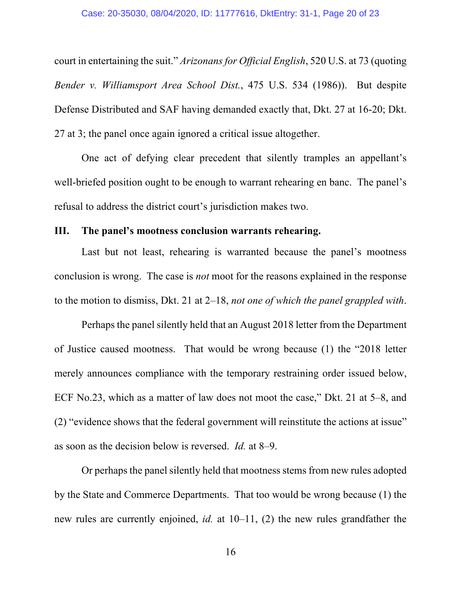court in entertaining the suit." *Arizonans for Official English*, 520 U.S. at 73 (quoting *Bender v. Williamsport Area School Dist.*, 475 U.S. 534 (1986)). But despite Defense Distributed and SAF having demanded exactly that, Dkt. 27 at 16-20; Dkt. 27 at 3; the panel once again ignored a critical issue altogether.

One act of defying clear precedent that silently tramples an appellant's well-briefed position ought to be enough to warrant rehearing en banc. The panel's refusal to address the district court's jurisdiction makes two.

### **III. The panel's mootness conclusion warrants rehearing.**

Last but not least, rehearing is warranted because the panel's mootness conclusion is wrong. The case is *not* moot for the reasons explained in the response to the motion to dismiss, Dkt. 21 at 2–18, *not one of which the panel grappled with*.

Perhaps the panel silently held that an August 2018 letter from the Department of Justice caused mootness. That would be wrong because (1) the "2018 letter merely announces compliance with the temporary restraining order issued below, ECF No.23, which as a matter of law does not moot the case," Dkt. 21 at 5–8, and (2) "evidence shows that the federal government will reinstitute the actions at issue" as soon as the decision below is reversed. *Id.* at 8–9.

Or perhaps the panel silently held that mootness stems from new rules adopted by the State and Commerce Departments. That too would be wrong because (1) the new rules are currently enjoined, *id.* at 10–11, (2) the new rules grandfather the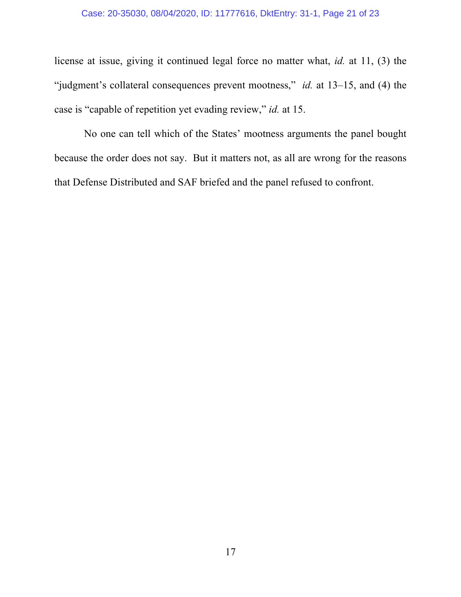## Case: 20-35030, 08/04/2020, ID: 11777616, DktEntry: 31-1, Page 21 of 23

license at issue, giving it continued legal force no matter what, *id.* at 11, (3) the "judgment's collateral consequences prevent mootness," *id.* at 13–15, and (4) the case is "capable of repetition yet evading review," *id.* at 15.

No one can tell which of the States' mootness arguments the panel bought because the order does not say. But it matters not, as all are wrong for the reasons that Defense Distributed and SAF briefed and the panel refused to confront.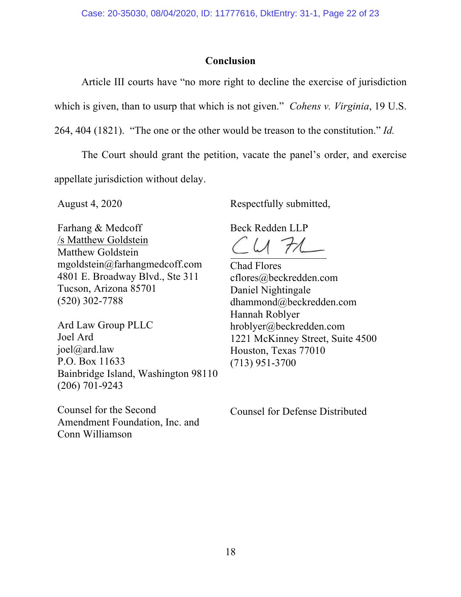## **Conclusion**

Article III courts have "no more right to decline the exercise of jurisdiction which is given, than to usurp that which is not given." *Cohens v. Virginia*, 19 U.S.

264, 404 (1821). "The one or the other would be treason to the constitution." *Id.*

The Court should grant the petition, vacate the panel's order, and exercise appellate jurisdiction without delay.

August 4, 2020 Respectfully submitted,

Farhang & Medcoff /s Matthew Goldstein Matthew Goldstein mgoldstein@farhangmedcoff.com 4801 E. Broadway Blvd., Ste 311 Tucson, Arizona 85701 (520) 302-7788

Ard Law Group PLLC Joel Ard joel@ard.law P.O. Box 11633 Bainbridge Island, Washington 98110 (206) 701-9243

Counsel for the Second Amendment Foundation, Inc. and Conn Williamson

Beck Redden LLP

 $U71$ 

Chad Flores cflores@beckredden.com Daniel Nightingale dhammond@beckredden.com Hannah Roblyer hroblyer@beckredden.com 1221 McKinney Street, Suite 4500 Houston, Texas 77010 (713) 951-3700

Counsel for Defense Distributed